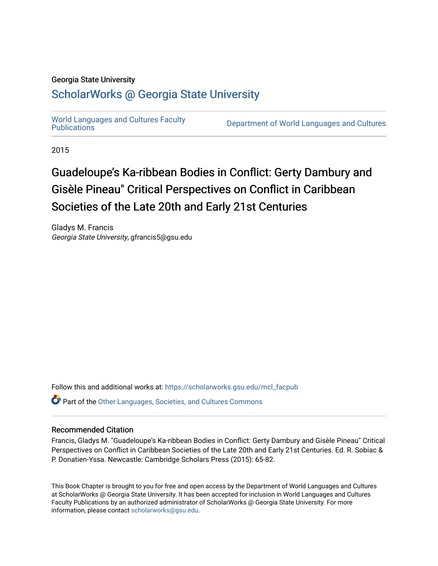#### Georgia State University

## [ScholarWorks @ Georgia State University](https://scholarworks.gsu.edu/)

[World Languages and Cultures Faculty](https://scholarworks.gsu.edu/mcl_facpub)<br>Publications

Department of World Languages and Cultures

2015

# Guadeloupe's Ka-ribbean Bodies in Conflict: Gerty Dambury and Gisèle Pineau" Critical Perspectives on Conflict in Caribbean Societies of the Late 20th and Early 21st Centuries

Gladys M. Francis Georgia State University, gfrancis5@gsu.edu

Follow this and additional works at: [https://scholarworks.gsu.edu/mcl\\_facpub](https://scholarworks.gsu.edu/mcl_facpub?utm_source=scholarworks.gsu.edu%2Fmcl_facpub%2F88&utm_medium=PDF&utm_campaign=PDFCoverPages) 

Part of the [Other Languages, Societies, and Cultures Commons](http://network.bepress.com/hgg/discipline/475?utm_source=scholarworks.gsu.edu%2Fmcl_facpub%2F88&utm_medium=PDF&utm_campaign=PDFCoverPages)

#### Recommended Citation

Francis, Gladys M. "Guadeloupe's Ka-ribbean Bodies in Conflict: Gerty Dambury and Gisèle Pineau" Critical Perspectives on Conflict in Caribbean Societies of the Late 20th and Early 21st Centuries. Ed. R. Sobiac & P. Donatien-Yssa. Newcastle: Cambridge Scholars Press (2015): 65-82.

This Book Chapter is brought to you for free and open access by the Department of World Languages and Cultures at ScholarWorks @ Georgia State University. It has been accepted for inclusion in World Languages and Cultures Faculty Publications by an authorized administrator of ScholarWorks @ Georgia State University. For more information, please contact [scholarworks@gsu.edu](mailto:scholarworks@gsu.edu).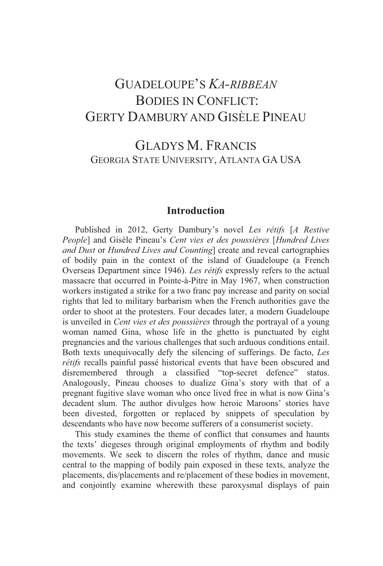## GUADELOUPE'S *KA-RIBBEAN* BODIES IN CONFLICT: GERTY DAMBURY AND GISÈLE PINEAU

### GLADYS M. FRANCIS GEORGIA STATE UNIVERSITY, ATLANTA GA USA

#### **Introduction**

Published in 2012, Gerty Dambury's novel *Les rétifs* [*A Restive People*] and Gisèle Pineau's *Cent vies et des poussières* [*Hundred Lives and Dust* or *Hundred Lives and Counting*] create and reveal cartographies of bodily pain in the context of the island of Guadeloupe (a French Overseas Department since 1946). *Les rétifs* expressly refers to the actual massacre that occurred in Pointe-à-Pitre in May 1967, when construction workers instigated a strike for a two franc pay increase and parity on social rights that led to military barbarism when the French authorities gave the order to shoot at the protesters. Four decades later, a modern Guadeloupe is unveiled in *Cent vies et des poussières* through the portrayal of a young woman named Gina, whose life in the ghetto is punctuated by eight pregnancies and the various challenges that such arduous conditions entail. Both texts unequivocally defy the silencing of sufferings. De facto, *Les rétifs* recalls painful passé historical events that have been obscured and disremembered through a classified "top-secret defence" status. Analogously, Pineau chooses to dualize Gina's story with that of a pregnant fugitive slave woman who once lived free in what is now Gina's decadent slum. The author divulges how heroic Maroons' stories have been divested, forgotten or replaced by snippets of speculation by descendants who have now become sufferers of a consumerist society.

This study examines the theme of conflict that consumes and haunts the texts' diegeses through original employments of rhythm and bodily movements. We seek to discern the roles of rhythm, dance and music central to the mapping of bodily pain exposed in these texts, analyze the placements, dis/placements and re/placement of these bodies in movement, and conjointly examine wherewith these paroxysmal displays of pain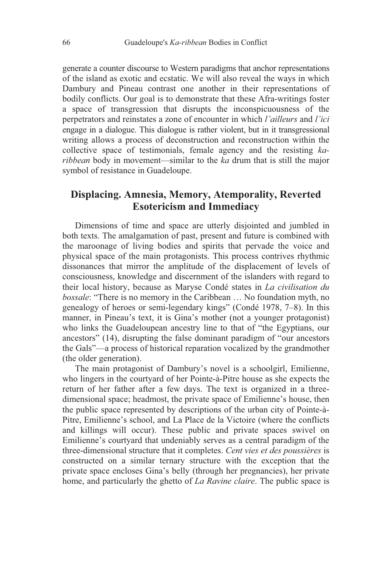generate a counter discourse to Western paradigms that anchor representations of the island as exotic and ecstatic. We will also reveal the ways in which Dambury and Pineau contrast one another in their representations of bodily conflicts. Our goal is to demonstrate that these Afra-writings foster a space of transgression that disrupts the inconspicuousness of the perpetrators and reinstates a zone of encounter in which *l'ailleurs* and *l'ici* engage in a dialogue. This dialogue is rather violent, but in it transgressional writing allows a process of deconstruction and reconstruction within the collective space of testimonials, female agency and the resisting *karibbean* body in movement—similar to the *ka* drum that is still the major symbol of resistance in Guadeloupe.

#### **Displacing. Amnesia, Memory, Atemporality, Reverted Esotericism and Immediacy**

Dimensions of time and space are utterly disjointed and jumbled in both texts. The amalgamation of past, present and future is combined with the maroonage of living bodies and spirits that pervade the voice and physical space of the main protagonists. This process contrives rhythmic dissonances that mirror the amplitude of the displacement of levels of consciousness, knowledge and discernment of the islanders with regard to their local history, because as Maryse Condé states in *La civilisation du bossale*: "There is no memory in the Caribbean ... No foundation myth, no genealogy of heroes or semi-legendary kings" (Condé 1978, 7–8). In this manner, in Pineau's text, it is Gina's mother (not a younger protagonist) who links the Guadeloupean ancestry line to that of "the Egyptians, our ancestors" (14), disrupting the false dominant paradigm of "our ancestors the Gals"—a process of historical reparation vocalized by the grandmother (the older generation).

The main protagonist of Dambury's novel is a schoolgirl, Emilienne, who lingers in the courtyard of her Pointe-à-Pitre house as she expects the return of her father after a few days. The text is organized in a threedimensional space; headmost, the private space of Emilienne's house, then the public space represented by descriptions of the urban city of Pointe-à-Pitre, Emilienne's school, and La Place de la Victoire (where the conflicts and killings will occur). These public and private spaces swivel on Emilienne's courtyard that undeniably serves as a central paradigm of the three-dimensional structure that it completes. *Cent vies et des poussières* is constructed on a similar ternary structure with the exception that the private space encloses Gina's belly (through her pregnancies), her private home, and particularly the ghetto of *La Ravine claire*. The public space is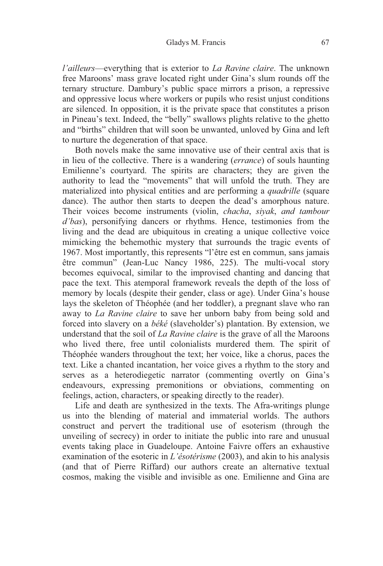*l'ailleurs*—everything that is exterior to *La Ravine claire*. The unknown free Maroons' mass grave located right under Gina's slum rounds off the ternary structure. Dambury's public space mirrors a prison, a repressive and oppressive locus where workers or pupils who resist unjust conditions are silenced. In opposition, it is the private space that constitutes a prison in Pineau's text. Indeed, the "belly" swallows plights relative to the ghetto and "births" children that will soon be unwanted, unloved by Gina and left to nurture the degeneration of that space.

Both novels make the same innovative use of their central axis that is in lieu of the collective. There is a wandering (*errance*) of souls haunting Emilienne's courtyard. The spirits are characters; they are given the authority to lead the "movements" that will unfold the truth. They are materialized into physical entities and are performing a *quadrille* (square dance). The author then starts to deepen the dead's amorphous nature. Their voices become instruments (violin, *chacha*, *siyak*, *and tambour d'bas*), personifying dancers or rhythms. Hence, testimonies from the living and the dead are ubiquitous in creating a unique collective voice mimicking the behemothic mystery that surrounds the tragic events of 1967. Most importantly, this represents "l'être est en commun, sans jamais être commun" (Jean-Luc Nancy 1986, 225). The multi-vocal story becomes equivocal, similar to the improvised chanting and dancing that pace the text. This atemporal framework reveals the depth of the loss of memory by locals (despite their gender, class or age). Under Gina's house lays the skeleton of Théophée (and her toddler), a pregnant slave who ran away to *La Ravine claire* to save her unborn baby from being sold and forced into slavery on a *béké* (slaveholder's) plantation. By extension, we understand that the soil of *La Ravine claire* is the grave of all the Maroons who lived there, free until colonialists murdered them. The spirit of Théophée wanders throughout the text; her voice, like a chorus, paces the text. Like a chanted incantation, her voice gives a rhythm to the story and serves as a heterodiegetic narrator (commenting overtly on Gina's endeavours, expressing premonitions or obviations, commenting on feelings, action, characters, or speaking directly to the reader).

Life and death are synthesized in the texts. The Afra-writings plunge us into the blending of material and immaterial worlds. The authors construct and pervert the traditional use of esoterism (through the unveiling of secrecy) in order to initiate the public into rare and unusual events taking place in Guadeloupe. Antoine Faivre offers an exhaustive examination of the esoteric in *L'ésotérisme* (2003), and akin to his analysis (and that of Pierre Riffard) our authors create an alternative textual cosmos, making the visible and invisible as one. Emilienne and Gina are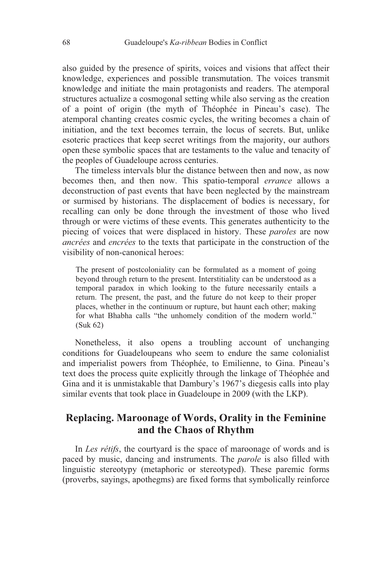also guided by the presence of spirits, voices and visions that affect their knowledge, experiences and possible transmutation. The voices transmit knowledge and initiate the main protagonists and readers. The atemporal structures actualize a cosmogonal setting while also serving as the creation of a point of origin (the myth of Théophée in Pineau's case). The atemporal chanting creates cosmic cycles, the writing becomes a chain of initiation, and the text becomes terrain, the locus of secrets. But, unlike esoteric practices that keep secret writings from the majority, our authors open these symbolic spaces that are testaments to the value and tenacity of the peoples of Guadeloupe across centuries.

The timeless intervals blur the distance between then and now, as now becomes then, and then now. This spatio-temporal *errance* allows a deconstruction of past events that have been neglected by the mainstream or surmised by historians. The displacement of bodies is necessary, for recalling can only be done through the investment of those who lived through or were victims of these events. This generates authenticity to the piecing of voices that were displaced in history. These *paroles* are now *ancrées* and *encrées* to the texts that participate in the construction of the visibility of non-canonical heroes:

The present of postcoloniality can be formulated as a moment of going beyond through return to the present. Interstitiality can be understood as a temporal paradox in which looking to the future necessarily entails a return. The present, the past, and the future do not keep to their proper places, whether in the continuum or rupture, but haunt each other; making for what Bhabha calls "the unhomely condition of the modern world." (Suk 62)

Nonetheless, it also opens a troubling account of unchanging conditions for Guadeloupeans who seem to endure the same colonialist and imperialist powers from Théophée, to Emilienne, to Gina. Pineau's text does the process quite explicitly through the linkage of Théophée and Gina and it is unmistakable that Dambury's 1967's diegesis calls into play similar events that took place in Guadeloupe in 2009 (with the LKP).

#### **Replacing. Maroonage of Words, Orality in the Feminine and the Chaos of Rhythm**

In *Les rétifs*, the courtyard is the space of maroonage of words and is paced by music, dancing and instruments. The *parole* is also filled with linguistic stereotypy (metaphoric or stereotyped). These paremic forms (proverbs, sayings, apothegms) are fixed forms that symbolically reinforce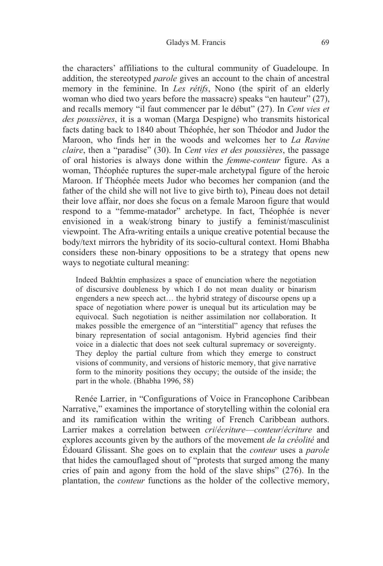the characters' affiliations to the cultural community of Guadeloupe. In addition, the stereotyped *parole* gives an account to the chain of ancestral memory in the feminine. In *Les rétifs*, Nono (the spirit of an elderly woman who died two years before the massacre) speaks "en hauteur" (27), and recalls memory "il faut commencer par le début" (27). In *Cent vies et des poussières*, it is a woman (Marga Despigne) who transmits historical facts dating back to 1840 about Théophée, her son Théodor and Judor the Maroon, who finds her in the woods and welcomes her to *La Ravine claire*, then a "paradise" (30). In *Cent vies et des poussières*, the passage of oral histories is always done within the *femme-conteur* figure. As a woman, Théophée ruptures the super-male archetypal figure of the heroic Maroon. If Théophée meets Judor who becomes her companion (and the father of the child she will not live to give birth to), Pineau does not detail their love affair, nor does she focus on a female Maroon figure that would respond to a "femme-matador" archetype. In fact, Théophée is never envisioned in a weak/strong binary to justify a feminist/masculinist viewpoint. The Afra-writing entails a unique creative potential because the body/text mirrors the hybridity of its socio-cultural context. Homi Bhabha considers these non-binary oppositions to be a strategy that opens new ways to negotiate cultural meaning:

Indeed Bakhtin emphasizes a space of enunciation where the negotiation of discursive doubleness by which I do not mean duality or binarism engenders a new speech act… the hybrid strategy of discourse opens up a space of negotiation where power is unequal but its articulation may be equivocal. Such negotiation is neither assimilation nor collaboration. It makes possible the emergence of an "interstitial" agency that refuses the binary representation of social antagonism. Hybrid agencies find their voice in a dialectic that does not seek cultural supremacy or sovereignty. They deploy the partial culture from which they emerge to construct visions of community, and versions of historic memory, that give narrative form to the minority positions they occupy; the outside of the inside; the part in the whole. (Bhabha 1996, 58)

Renée Larrier, in "Configurations of Voice in Francophone Caribbean Narrative," examines the importance of storytelling within the colonial era and its ramification within the writing of French Caribbean authors. Larrier makes a correlation between *cri*/*écriture*—*conteur*/*écriture* and explores accounts given by the authors of the movement *de la créolité* and Édouard Glissant. She goes on to explain that the *conteur* uses a *parole*  that hides the camouflaged shout of "protests that surged among the many cries of pain and agony from the hold of the slave ships" (276). In the plantation, the *conteur* functions as the holder of the collective memory,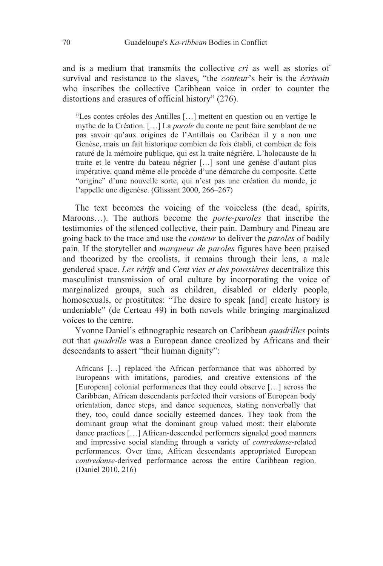and is a medium that transmits the collective *cri* as well as stories of survival and resistance to the slaves, "the *conteur*'s heir is the *écrivain*  who inscribes the collective Caribbean voice in order to counter the distortions and erasures of official history" (276).

"Les contes créoles des Antilles […] mettent en question ou en vertige le mythe de la Création. […] La *parole* du conte ne peut faire semblant de ne pas savoir qu'aux origines de l'Antillais ou Caribéen il y a non une Genèse, mais un fait historique combien de fois établi, et combien de fois raturé de la mémoire publique, qui est la traite négrière. L'holocauste de la traite et le ventre du bateau négrier […] sont une genèse d'autant plus impérative, quand même elle procède d'une démarche du composite. Cette "origine" d'une nouvelle sorte, qui n'est pas une création du monde, je l'appelle une digenèse. (Glissant 2000, 266–267)

The text becomes the voicing of the voiceless (the dead, spirits, Maroons…). The authors become the *porte-paroles* that inscribe the testimonies of the silenced collective, their pain. Dambury and Pineau are going back to the trace and use the *conteur* to deliver the *paroles* of bodily pain. If the storyteller and *marqueur de paroles* figures have been praised and theorized by the creolists, it remains through their lens, a male gendered space. *Les rétifs* and *Cent vies et des poussières* decentralize this masculinist transmission of oral culture by incorporating the voice of marginalized groups, such as children, disabled or elderly people, homosexuals, or prostitutes: "The desire to speak [and] create history is undeniable" (de Certeau 49) in both novels while bringing marginalized voices to the centre.

Yvonne Daniel's ethnographic research on Caribbean *quadrilles* points out that *quadrille* was a European dance creolized by Africans and their descendants to assert "their human dignity":

Africans […] replaced the African performance that was abhorred by Europeans with imitations, parodies, and creative extensions of the [European] colonial performances that they could observe […] across the Caribbean, African descendants perfected their versions of European body orientation, dance steps, and dance sequences, stating nonverbally that they, too, could dance socially esteemed dances. They took from the dominant group what the dominant group valued most: their elaborate dance practices […] African-descended performers signaled good manners and impressive social standing through a variety of *contredanse*-related performances. Over time, African descendants appropriated European *contredanse*-derived performance across the entire Caribbean region. (Daniel 2010, 216)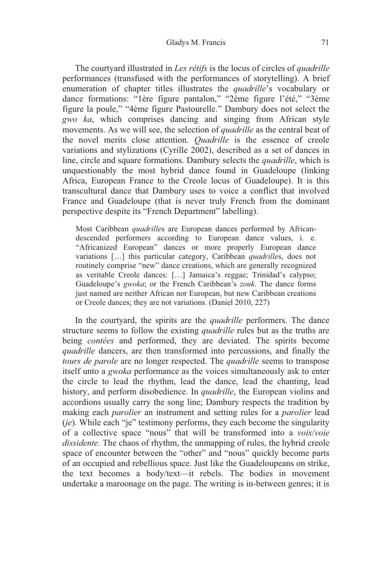The courtyard illustrated in *Les rétifs* is the locus of circles of *quadrille*  performances (transfused with the performances of storytelling). A brief enumeration of chapter titles illustrates the *quadrille*'s vocabulary or dance formations: "1ère figure pantalon," "2ème figure l'été," "3ème figure la poule," "4ème figure Pastourelle." Dambury does not select the *gwo ka*, which comprises dancing and singing from African style movements. As we will see, the selection of *quadrille* as the central beat of the novel merits close attention. *Quadrille* is the essence of creole variations and stylizations (Cyrille 2002), described as a set of dances in line, circle and square formations. Dambury selects the *quadrille*, which is unquestionably the most hybrid dance found in Guadeloupe (linking Africa, European France to the Creole locus of Guadeloupe). It is this transcultural dance that Dambury uses to voice a conflict that involved France and Guadeloupe (that is never truly French from the dominant perspective despite its "French Department" labelling).

Most Caribbean *quadrille*s are European dances performed by Africandescended performers according to European dance values, i. e. "Africanized European" dances or more properly European dance variations […] this particular category, Caribbean *quadrille*s, does not routinely comprise "new" dance creations, which are generally recognized as veritable Creole dances: […] Jamaica's reggae; Trinidad's calypso; Guadeloupe's *gwoka*; or the French Caribbean's *zouk*. The dance forms just named are neither African nor European, but new Caribbean creations or Creole dances; they are not variations. (Daniel 2010, 227)

In the courtyard, the spirits are the *quadrille* performers. The dance structure seems to follow the existing *quadrille* rules but as the truths are being *contées* and performed, they are deviated. The spirits become *quadrille* dancers, are then transformed into percussions, and finally the *tours de parole* are no longer respected. The *quadrille* seems to transpose itself unto a *gwoka* performance as the voices simultaneously ask to enter the circle to lead the rhythm, lead the dance, lead the chanting, lead history, and perform disobedience. In *quadrille*, the European violins and accordions usually carry the song line; Dambury respects the tradition by making each *parolier* an instrument and setting rules for a *parolier* lead (*je*). While each "je" testimony performs, they each become the singularity of a collective space "nous" that will be transformed into a *voix*/*voie dissidente*. The chaos of rhythm, the unmapping of rules, the hybrid creole space of encounter between the "other" and "nous" quickly become parts of an occupied and rebellious space. Just like the Guadeloupeans on strike, the text becomes a body/text—it rebels. The bodies in movement undertake a maroonage on the page. The writing is in-between genres; it is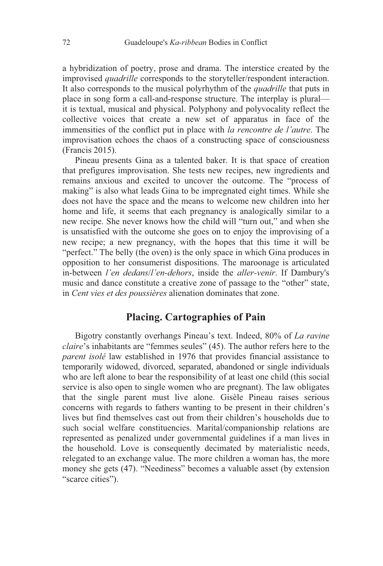a hybridization of poetry, prose and drama. The interstice created by the improvised *quadrille* corresponds to the storyteller/respondent interaction. It also corresponds to the musical polyrhythm of the *quadrille* that puts in place in song form a call-and-response structure. The interplay is plural it is textual, musical and physical. Polyphony and polyvocality reflect the collective voices that create a new set of apparatus in face of the immensities of the conflict put in place with *la rencontre de l'autre*. The improvisation echoes the chaos of a constructing space of consciousness (Francis 2015).

Pineau presents Gina as a talented baker. It is that space of creation that prefigures improvisation. She tests new recipes, new ingredients and remains anxious and excited to uncover the outcome. The "process of making" is also what leads Gina to be impregnated eight times. While she does not have the space and the means to welcome new children into her home and life, it seems that each pregnancy is analogically similar to a new recipe. She never knows how the child will "turn out," and when she is unsatisfied with the outcome she goes on to enjoy the improvising of a new recipe; a new pregnancy, with the hopes that this time it will be "perfect." The belly (the oven) is the only space in which Gina produces in opposition to her consumerist dispositions. The maroonage is articulated in-between *l'en dedans*/*l'en-dehors*, inside the *aller-venir*. If Dambury's music and dance constitute a creative zone of passage to the "other" state, in *Cent vies et des poussières* alienation dominates that zone.

#### **Placing. Cartographies of Pain**

Bigotry constantly overhangs Pineau's text. Indeed, 80% of *La ravine claire*'s inhabitants are "femmes seules" (45). The author refers here to the *parent isolé* law established in 1976 that provides financial assistance to temporarily widowed, divorced, separated, abandoned or single individuals who are left alone to bear the responsibility of at least one child (this social service is also open to single women who are pregnant). The law obligates that the single parent must live alone. Gisèle Pineau raises serious concerns with regards to fathers wanting to be present in their children's lives but find themselves cast out from their children's households due to such social welfare constituencies. Marital/companionship relations are represented as penalized under governmental guidelines if a man lives in the household. Love is consequently decimated by materialistic needs, relegated to an exchange value. The more children a woman has, the more money she gets (47). "Neediness" becomes a valuable asset (by extension "scarce cities").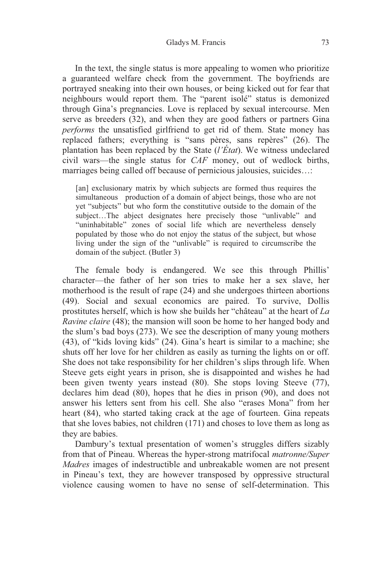In the text, the single status is more appealing to women who prioritize a guaranteed welfare check from the government. The boyfriends are portrayed sneaking into their own houses, or being kicked out for fear that neighbours would report them. The "parent isolé" status is demonized through Gina's pregnancies. Love is replaced by sexual intercourse. Men serve as breeders (32), and when they are good fathers or partners Gina *performs* the unsatisfied girlfriend to get rid of them. State money has replaced fathers; everything is "sans pères, sans repères" (26). The plantation has been replaced by the State (*l'État*). We witness undeclared civil wars—the single status for *CAF* money, out of wedlock births, marriages being called off because of pernicious jalousies, suicides…:

[an] exclusionary matrix by which subjects are formed thus requires the simultaneous production of a domain of abject beings, those who are not yet "subjects" but who form the constitutive outside to the domain of the subject…The abject designates here precisely those "unlivable" and "uninhabitable" zones of social life which are nevertheless densely populated by those who do not enjoy the status of the subject, but whose living under the sign of the "unlivable" is required to circumscribe the domain of the subject. (Butler 3)

The female body is endangered. We see this through Phillis' character—the father of her son tries to make her a sex slave, her motherhood is the result of rape (24) and she undergoes thirteen abortions (49). Social and sexual economics are paired. To survive, Dollis prostitutes herself, which is how she builds her "château" at the heart of *La Ravine claire* (48); the mansion will soon be home to her hanged body and the slum's bad boys (273). We see the description of many young mothers (43), of "kids loving kids" (24). Gina's heart is similar to a machine; she shuts off her love for her children as easily as turning the lights on or off. She does not take responsibility for her children's slips through life. When Steeve gets eight years in prison, she is disappointed and wishes he had been given twenty years instead (80). She stops loving Steeve (77), declares him dead (80), hopes that he dies in prison (90), and does not answer his letters sent from his cell. She also "erases Mona" from her heart (84), who started taking crack at the age of fourteen. Gina repeats that she loves babies, not children (171) and choses to love them as long as they are babies.

Dambury's textual presentation of women's struggles differs sizably from that of Pineau. Whereas the hyper-strong matrifocal *matronne/Super Madres* images of indestructible and unbreakable women are not present in Pineau's text, they are however transposed by oppressive structural violence causing women to have no sense of self-determination. This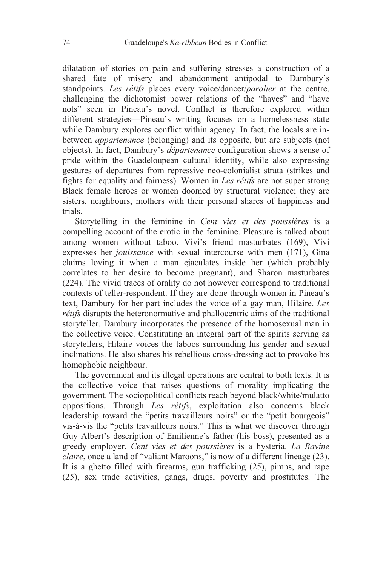dilatation of stories on pain and suffering stresses a construction of a shared fate of misery and abandonment antipodal to Dambury's standpoints. *Les rétifs* places every voice/dancer/*parolier* at the centre, challenging the dichotomist power relations of the "haves" and "have nots" seen in Pineau's novel. Conflict is therefore explored within different strategies—Pineau's writing focuses on a homelessness state while Dambury explores conflict within agency. In fact, the locals are inbetween *appartenance* (belonging) and its opposite, but are subjects (not objects). In fact, Dambury's *départenance* configuration shows a sense of pride within the Guadeloupean cultural identity, while also expressing gestures of departures from repressive neo-colonialist strata (strikes and fights for equality and fairness). Women in *Les rétifs* are not super strong Black female heroes or women doomed by structural violence; they are sisters, neighbours, mothers with their personal shares of happiness and trials.

Storytelling in the feminine in *Cent vies et des poussières* is a compelling account of the erotic in the feminine. Pleasure is talked about among women without taboo. Vivi's friend masturbates (169), Vivi expresses her *jouissance* with sexual intercourse with men (171), Gina claims loving it when a man ejaculates inside her (which probably correlates to her desire to become pregnant), and Sharon masturbates (224). The vivid traces of orality do not however correspond to traditional contexts of teller-respondent. If they are done through women in Pineau's text, Dambury for her part includes the voice of a gay man, Hilaire. *Les rétifs* disrupts the heteronormative and phallocentric aims of the traditional storyteller. Dambury incorporates the presence of the homosexual man in the collective voice. Constituting an integral part of the spirits serving as storytellers, Hilaire voices the taboos surrounding his gender and sexual inclinations. He also shares his rebellious cross-dressing act to provoke his homophobic neighbour.

The government and its illegal operations are central to both texts. It is the collective voice that raises questions of morality implicating the government. The sociopolitical conflicts reach beyond black/white/mulatto oppositions. Through *Les rétifs*, exploitation also concerns black leadership toward the "petits travailleurs noirs" or the "petit bourgeois" vis-à-vis the "petits travailleurs noirs." This is what we discover through Guy Albert's description of Emilienne's father (his boss), presented as a greedy employer. *Cent vies et des poussières* is a hysteria. *La Ravine claire*, once a land of "valiant Maroons," is now of a different lineage (23). It is a ghetto filled with firearms, gun trafficking (25), pimps, and rape (25), sex trade activities, gangs, drugs, poverty and prostitutes. The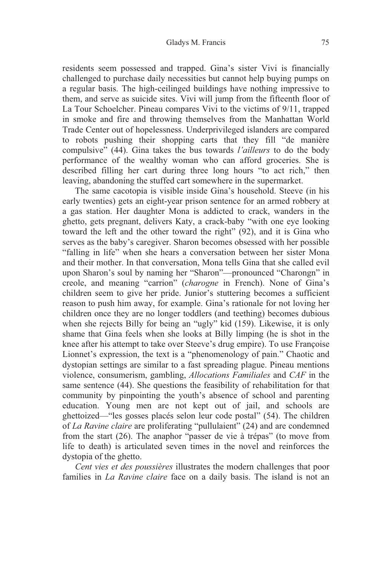residents seem possessed and trapped. Gina's sister Vivi is financially challenged to purchase daily necessities but cannot help buying pumps on a regular basis. The high-ceilinged buildings have nothing impressive to them, and serve as suicide sites. Vivi will jump from the fifteenth floor of La Tour Schoelcher. Pineau compares Vivi to the victims of 9/11, trapped in smoke and fire and throwing themselves from the Manhattan World Trade Center out of hopelessness. Underprivileged islanders are compared to robots pushing their shopping carts that they fill "de manière compulsive" (44). Gina takes the bus towards *l'ailleurs* to do the body performance of the wealthy woman who can afford groceries. She is described filling her cart during three long hours "to act rich," then leaving, abandoning the stuffed cart somewhere in the supermarket.

The same cacotopia is visible inside Gina's household. Steeve (in his early twenties) gets an eight-year prison sentence for an armed robbery at a gas station. Her daughter Mona is addicted to crack, wanders in the ghetto, gets pregnant, delivers Katy, a crack-baby "with one eye looking toward the left and the other toward the right" (92), and it is Gina who serves as the baby's caregiver. Sharon becomes obsessed with her possible "falling in life" when she hears a conversation between her sister Mona and their mother. In that conversation, Mona tells Gina that she called evil upon Sharon's soul by naming her "Sharon"—pronounced "Charongn" in creole, and meaning "carrion" (*charogne* in French). None of Gina's children seem to give her pride. Junior's stuttering becomes a sufficient reason to push him away, for example. Gina's rationale for not loving her children once they are no longer toddlers (and teething) becomes dubious when she rejects Billy for being an "ugly" kid (159). Likewise, it is only shame that Gina feels when she looks at Billy limping (he is shot in the knee after his attempt to take over Steeve's drug empire). To use Françoise Lionnet's expression, the text is a "phenomenology of pain." Chaotic and dystopian settings are similar to a fast spreading plague. Pineau mentions violence, consumerism, gambling, *Allocations Familiales* and *CAF* in the same sentence (44). She questions the feasibility of rehabilitation for that community by pinpointing the youth's absence of school and parenting education. Young men are not kept out of jail, and schools are ghettoized—"les gosses placés selon leur code postal" (54). The children of *La Ravine claire* are proliferating "pullulaient" (24) and are condemned from the start (26). The anaphor "passer de vie à trépas" (to move from life to death) is articulated seven times in the novel and reinforces the dystopia of the ghetto.

*Cent vies et des poussières* illustrates the modern challenges that poor families in *La Ravine claire* face on a daily basis. The island is not an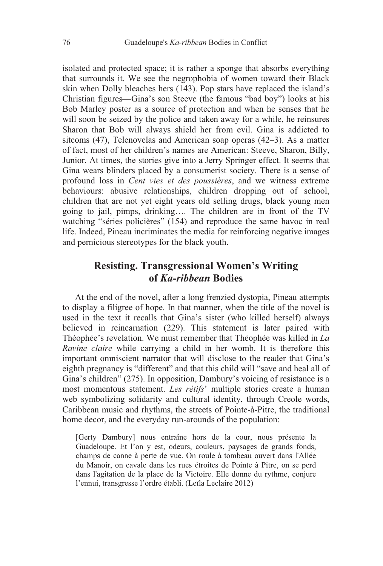isolated and protected space; it is rather a sponge that absorbs everything that surrounds it. We see the negrophobia of women toward their Black skin when Dolly bleaches hers (143). Pop stars have replaced the island's Christian figures—Gina's son Steeve (the famous "bad boy") looks at his Bob Marley poster as a source of protection and when he senses that he will soon be seized by the police and taken away for a while, he reinsures Sharon that Bob will always shield her from evil. Gina is addicted to sitcoms (47), Telenovelas and American soap operas (42–3). As a matter of fact, most of her children's names are American: Steeve, Sharon, Billy, Junior. At times, the stories give into a Jerry Springer effect. It seems that Gina wears blinders placed by a consumerist society. There is a sense of profound loss in *Cent vies et des poussières*, and we witness extreme behaviours: abusive relationships, children dropping out of school, children that are not yet eight years old selling drugs, black young men going to jail, pimps, drinking…. The children are in front of the TV watching "séries policières" (154) and reproduce the same havoc in real life. Indeed, Pineau incriminates the media for reinforcing negative images and pernicious stereotypes for the black youth.

#### **Resisting. Transgressional Women's Writing of** *Ka-ribbean* **Bodies**

At the end of the novel, after a long frenzied dystopia, Pineau attempts to display a filigree of hope*.* In that manner, when the title of the novel is used in the text it recalls that Gina's sister (who killed herself) always believed in reincarnation (229). This statement is later paired with Théophée's revelation. We must remember that Théophée was killed in *La Ravine claire* while carrying a child in her womb. It is therefore this important omniscient narrator that will disclose to the reader that Gina's eighth pregnancy is "different" and that this child will "save and heal all of Gina's children" (275). In opposition, Dambury's voicing of resistance is a most momentous statement. *Les rétifs*' multiple stories create a human web symbolizing solidarity and cultural identity, through Creole words, Caribbean music and rhythms, the streets of Pointe-à-Pitre, the traditional home decor, and the everyday run-arounds of the population:

[Gerty Dambury] nous entraîne hors de la cour, nous présente la Guadeloupe. Et l'on y est, odeurs, couleurs, paysages de grands fonds, champs de canne à perte de vue. On roule à tombeau ouvert dans l'Allée du Manoir, on cavale dans les rues étroites de Pointe à Pitre, on se perd dans l'agitation de la place de la Victoire. Elle donne du rythme, conjure l'ennui, transgresse l'ordre établi. (Leïla Leclaire 2012)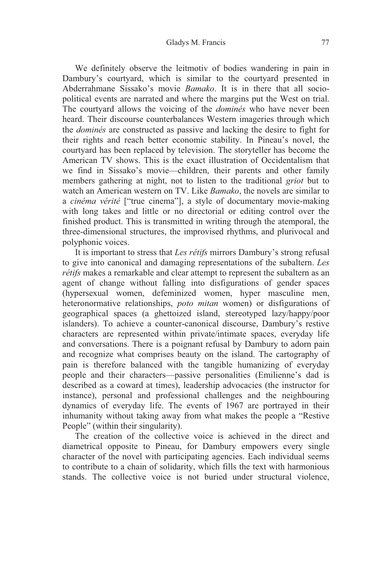We definitely observe the leitmotiv of bodies wandering in pain in Dambury's courtyard, which is similar to the courtyard presented in Abderrahmane Sissako's movie *Bamako*. It is in there that all sociopolitical events are narrated and where the margins put the West on trial. The courtyard allows the voicing of the *dominés* who have never been heard. Their discourse counterbalances Western imageries through which the *dominés* are constructed as passive and lacking the desire to fight for their rights and reach better economic stability. In Pineau's novel, the courtyard has been replaced by television. The storyteller has become the American TV shows. This is the exact illustration of Occidentalism that we find in Sissako's movie—children, their parents and other family members gathering at night, not to listen to the traditional *griot* but to watch an American western on TV. Like *Bamako*, the novels are similar to a *cinéma vérité* ["true cinema"], a style of documentary movie-making with long takes and little or no directorial or editing control over the finished product. This is transmitted in writing through the atemporal, the three-dimensional structures, the improvised rhythms, and plurivocal and polyphonic voices.

It is important to stress that *Les rétifs* mirrors Dambury's strong refusal to give into canonical and damaging representations of the subaltern. *Les rétifs* makes a remarkable and clear attempt to represent the subaltern as an agent of change without falling into disfigurations of gender spaces (hypersexual women, defeminized women, hyper masculine men, heteronormative relationships, *poto mitan* women) or disfigurations of geographical spaces (a ghettoized island, stereotyped lazy/happy/poor islanders). To achieve a counter-canonical discourse, Dambury's restive characters are represented within private/intimate spaces, everyday life and conversations. There is a poignant refusal by Dambury to adorn pain and recognize what comprises beauty on the island. The cartography of pain is therefore balanced with the tangible humanizing of everyday people and their characters—passive personalities (Emilienne's dad is described as a coward at times), leadership advocacies (the instructor for instance), personal and professional challenges and the neighbouring dynamics of everyday life. The events of 1967 are portrayed in their inhumanity without taking away from what makes the people a "Restive People" (within their singularity).

The creation of the collective voice is achieved in the direct and diametrical opposite to Pineau, for Dambury empowers every single character of the novel with participating agencies. Each individual seems to contribute to a chain of solidarity, which fills the text with harmonious stands. The collective voice is not buried under structural violence,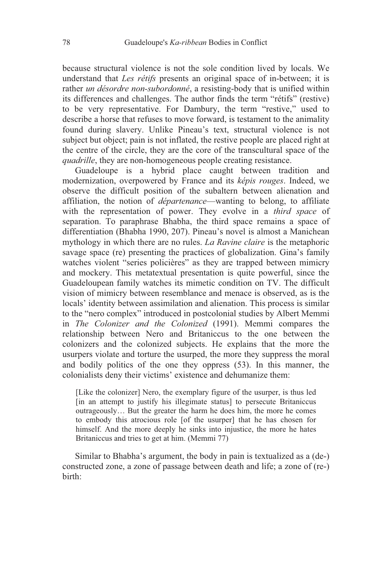because structural violence is not the sole condition lived by locals. We understand that *Les rétifs* presents an original space of in-between; it is rather *un désordre non-subordonné*, a resisting-body that is unified within its differences and challenges. The author finds the term "rétifs" (restive) to be very representative. For Dambury, the term "restive," used to describe a horse that refuses to move forward, is testament to the animality found during slavery. Unlike Pineau's text, structural violence is not subject but object; pain is not inflated, the restive people are placed right at the centre of the circle, they are the core of the transcultural space of the *quadrille*, they are non-homogeneous people creating resistance.

Guadeloupe is a hybrid place caught between tradition and modernization, overpowered by France and its *képis rouges*. Indeed, we observe the difficult position of the subaltern between alienation and affiliation, the notion of *départenance*—wanting to belong, to affiliate with the representation of power. They evolve in a *third space* of separation. To paraphrase Bhabha, the third space remains a space of differentiation (Bhabha 1990, 207). Pineau's novel is almost a Manichean mythology in which there are no rules. *La Ravine claire* is the metaphoric savage space (re) presenting the practices of globalization. Gina's family watches violent "series policières" as they are trapped between mimicry and mockery. This metatextual presentation is quite powerful, since the Guadeloupean family watches its mimetic condition on TV. The difficult vision of mimicry between resemblance and menace is observed, as is the locals' identity between assimilation and alienation. This process is similar to the "nero complex" introduced in postcolonial studies by Albert Memmi in *The Colonizer and the Colonized* (1991). Memmi compares the relationship between Nero and Britaniccus to the one between the colonizers and the colonized subjects. He explains that the more the usurpers violate and torture the usurped, the more they suppress the moral and bodily politics of the one they oppress (53). In this manner, the colonialists deny their victims' existence and dehumanize them:

[Like the colonizer] Nero, the exemplary figure of the usurper, is thus led [in an attempt to justify his illegimate status] to persecute Britaniccus outrageously… But the greater the harm he does him, the more he comes to embody this atrocious role [of the usurper] that he has chosen for himself. And the more deeply he sinks into injustice, the more he hates Britaniccus and tries to get at him. (Memmi 77)

Similar to Bhabha's argument, the body in pain is textualized as a (de-) constructed zone, a zone of passage between death and life; a zone of (re-) birth: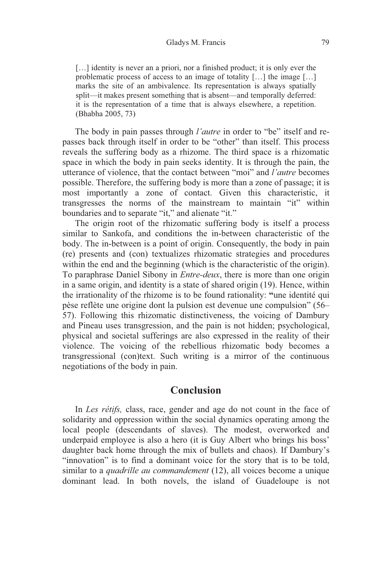[...] identity is never an a priori, nor a finished product; it is only ever the problematic process of access to an image of totality […] the image […] marks the site of an ambivalence. Its representation is always spatially split—it makes present something that is absent—and temporally deferred: it is the representation of a time that is always elsewhere, a repetition. (Bhabha 2005, 73)

The body in pain passes through *l'autre* in order to "be" itself and repasses back through itself in order to be "other" than itself. This process reveals the suffering body as a rhizome. The third space is a rhizomatic space in which the body in pain seeks identity. It is through the pain, the utterance of violence, that the contact between "moi" and *l'autre* becomes possible. Therefore, the suffering body is more than a zone of passage; it is most importantly a zone of contact. Given this characteristic, it transgresses the norms of the mainstream to maintain "it" within boundaries and to separate "it," and alienate "it."

The origin root of the rhizomatic suffering body is itself a process similar to Sankofa, and conditions the in-between characteristic of the body. The in-between is a point of origin. Consequently, the body in pain (re) presents and (con) textualizes rhizomatic strategies and procedures within the end and the beginning (which is the characteristic of the origin). To paraphrase Daniel Sibony in *Entre-deux*, there is more than one origin in a same origin, and identity is a state of shared origin (19). Hence, within the irrationality of the rhizome is to be found rationality: **"**une identité qui pèse reflète une origine dont la pulsion est devenue une compulsion" (56– 57). Following this rhizomatic distinctiveness, the voicing of Dambury and Pineau uses transgression, and the pain is not hidden; psychological, physical and societal sufferings are also expressed in the reality of their violence. The voicing of the rebellious rhizomatic body becomes a transgressional (con)text. Such writing is a mirror of the continuous negotiations of the body in pain.

#### **Conclusion**

In *Les rétifs,* class, race, gender and age do not count in the face of solidarity and oppression within the social dynamics operating among the local people (descendants of slaves). The modest, overworked and underpaid employee is also a hero (it is Guy Albert who brings his boss' daughter back home through the mix of bullets and chaos). If Dambury's "innovation" is to find a dominant voice for the story that is to be told, similar to a *quadrille au commandement* (12), all voices become a unique dominant lead. In both novels, the island of Guadeloupe is not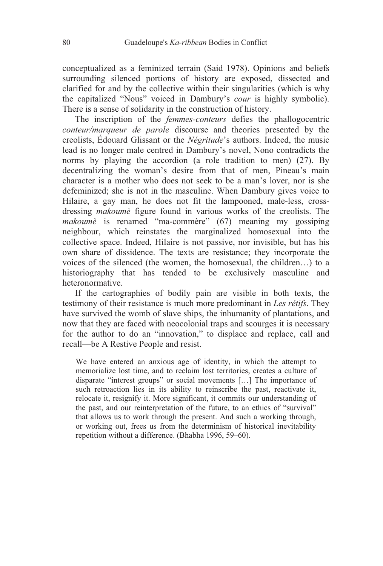conceptualized as a feminized terrain (Said 1978). Opinions and beliefs surrounding silenced portions of history are exposed, dissected and clarified for and by the collective within their singularities (which is why the capitalized "Nous" voiced in Dambury's *cour* is highly symbolic). There is a sense of solidarity in the construction of history.

The inscription of the *femmes-conteurs* defies the phallogocentric *conteur/marqueur de parole* discourse and theories presented by the creolists, Édouard Glissant or the *Négritude*'s authors. Indeed, the music lead is no longer male centred in Dambury's novel, Nono contradicts the norms by playing the accordion (a role tradition to men) (27). By decentralizing the woman's desire from that of men, Pineau's main character is a mother who does not seek to be a man's lover, nor is she defeminized; she is not in the masculine. When Dambury gives voice to Hilaire, a gay man, he does not fit the lampooned, male-less, crossdressing *makoumè* figure found in various works of the creolists. The *makoumè* is renamed "ma-commère" (67) meaning my gossiping neighbour, which reinstates the marginalized homosexual into the collective space. Indeed, Hilaire is not passive, nor invisible, but has his own share of dissidence. The texts are resistance; they incorporate the voices of the silenced (the women, the homosexual, the children…) to a historiography that has tended to be exclusively masculine and heteronormative.

If the cartographies of bodily pain are visible in both texts, the testimony of their resistance is much more predominant in *Les rétifs*. They have survived the womb of slave ships, the inhumanity of plantations, and now that they are faced with neocolonial traps and scourges it is necessary for the author to do an "innovation," to displace and replace, call and recall—be A Restive People and resist.

We have entered an anxious age of identity, in which the attempt to memorialize lost time, and to reclaim lost territories, creates a culture of disparate "interest groups" or social movements […] The importance of such retroaction lies in its ability to reinscribe the past, reactivate it, relocate it, resignify it. More significant, it commits our understanding of the past, and our reinterpretation of the future, to an ethics of "survival" that allows us to work through the present. And such a working through, or working out, frees us from the determinism of historical inevitability repetition without a difference. (Bhabha 1996, 59–60).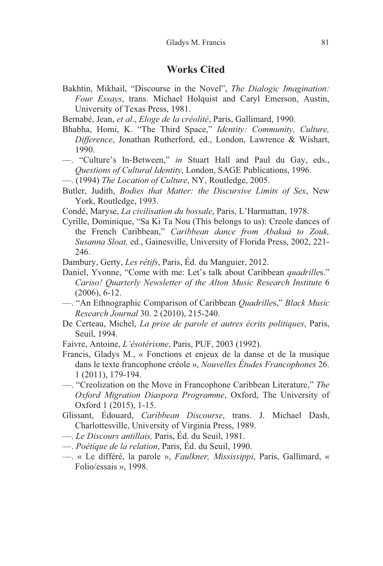#### **Works Cited**

- Bakhtin, Mikhail, "Discourse in the Novel", *The Dialogic Imagination: Four Essays*, trans. Michael Holquist and Caryl Emerson, Austin, University of Texas Press, 1981.
- Bernabé, Jean, *et al*., *Eloge de la créolité*, Paris, Gallimard, 1990.
- Bhabha, Homi, K. "The Third Space," *Identity: Community, Culture, Difference*, Jonathan Rutherford, ed., London, Lawrence & Wishart, 1990.
- —. "Culture's In-Between," *in* Stuart Hall and Paul du Gay, eds., *Questions of Cultural Identity*, London, SAGE Publications, 1996.
- —. (1994) *The Location of Culture*, NY, Routledge, 2005.
- Butler, Judith, *Bodies that Matter: the Discursive Limits of Sex*, New York, Routledge, 1993.
- Condé, Maryse, *La civilisation du bossale*, Paris, L'Harmattan, 1978.
- Cyrille, Dominique, "Sa Ki Ta Nou (This belongs to us): Creole dances of the French Caribbean," *Caribbean dance from Abakuá to Zouk, Susanna Sloat,* ed., Gainesville, University of Florida Press, 2002, 221- 246.
- Dambury, Gerty, *Les rétifs*, Paris, Éd. du Manguier, 2012.
- Daniel, Yvonne, "Come with me: Let's talk about Caribbean *quadrille*s." *Cariso! Quarterly Newsletter of the Alton Music Research Institute* 6 (2006), 6-12.
- —. "An Ethnographic Comparison of Caribbean *Quadrille*s," *Black Music Research Journal* 30. 2 (2010), 215-240.
- De Certeau, Michel, *La prise de parole et autres écrits politiques*, Paris, Seuil, 1994.
- Faivre, Antoine, *L'ésotérisme*, Paris, PUF, 2003 (1992).
- Francis, Gladys M., « Fonctions et enjeux de la danse et de la musique dans le texte francophone créole », *Nouvelles Études Francophones* 26. 1 (2011), 179-194.
- —. "Creolization on the Move in Francophone Caribbean Literature," *The Oxford Migration Diaspora Programme*, Oxford, The University of Oxford 1 (2015), 1-15.
- Glissant, Édouard, *Caribbean Discourse*, trans. J. Michael Dash, Charlottesville, University of Virginia Press, 1989.
- —. *Le Discours antillais,* Paris, Éd. du Seuil, 1981.
- —. *Poétique de la relation*, Paris, Éd. du Seuil, 1990.
- —. « Le différé, la parole », *Faulkner, Mississippi*, Paris, Gallimard, « Folio/essais », 1998.